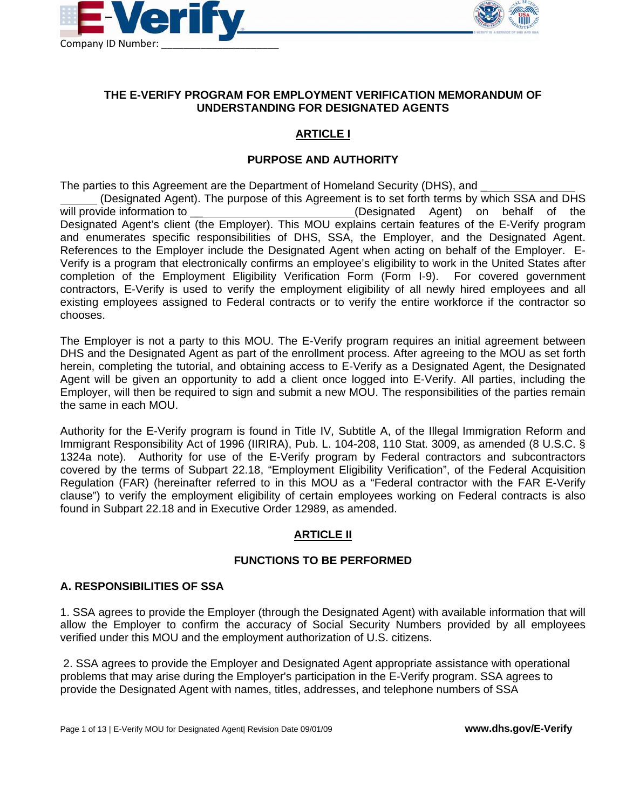



#### **THE E-VERIFY PROGRAM FOR EMPLOYMENT VERIFICATION MEMORANDUM OF UNDERSTANDING FOR DESIGNATED AGENTS**

# **ARTICLE I**

#### **PURPOSE AND AUTHORITY**

The parties to this Agreement are the Department of Homeland Security (DHS), and \_ (Designated Agent). The purpose of this Agreement is to set forth terms by which SSA and DHS will provide information to the same of the contraction of the same of the same of the same of the vertex of the same of the same of the same of the same of the same of the same of the same of the same of the same of the s Designated Agent's client (the Employer). This MOU explains certain features of the E-Verify program and enumerates specific responsibilities of DHS, SSA, the Employer, and the Designated Agent. References to the Employer include the Designated Agent when acting on behalf of the Employer. E-Verify is a program that electronically confirms an employee's eligibility to work in the United States after completion of the Employment Eligibility Verification Form (Form I-9). For covered government contractors, E-Verify is used to verify the employment eligibility of all newly hired employees and all existing employees assigned to Federal contracts or to verify the entire workforce if the contractor so chooses.

The Employer is not a party to this MOU. The E-Verify program requires an initial agreement between DHS and the Designated Agent as part of the enrollment process. After agreeing to the MOU as set forth herein, completing the tutorial, and obtaining access to E-Verify as a Designated Agent, the Designated Agent will be given an opportunity to add a client once logged into E-Verify. All parties, including the Employer, will then be required to sign and submit a new MOU. The responsibilities of the parties remain the same in each MOU.

Authority for the E-Verify program is found in Title IV, Subtitle A, of the Illegal Immigration Reform and Immigrant Responsibility Act of 1996 (IIRIRA), Pub. L. 104-208, 110 Stat. 3009, as amended (8 U.S.C. § 1324a note). Authority for use of the E-Verify program by Federal contractors and subcontractors covered by the terms of Subpart 22.18, "Employment Eligibility Verification", of the Federal Acquisition Regulation (FAR) (hereinafter referred to in this MOU as a "Federal contractor with the FAR E-Verify clause") to verify the employment eligibility of certain employees working on Federal contracts is also found in Subpart 22.18 and in Executive Order 12989, as amended.

### **ARTICLE II**

### **FUNCTIONS TO BE PERFORMED**

#### **A. RESPONSIBILITIES OF SSA**

1. SSA agrees to provide the Employer (through the Designated Agent) with available information that will allow the Employer to confirm the accuracy of Social Security Numbers provided by all employees verified under this MOU and the employment authorization of U.S. citizens.

 2. SSA agrees to provide the Employer and Designated Agent appropriate assistance with operational problems that may arise during the Employer's participation in the E-Verify program. SSA agrees to provide the Designated Agent with names, titles, addresses, and telephone numbers of SSA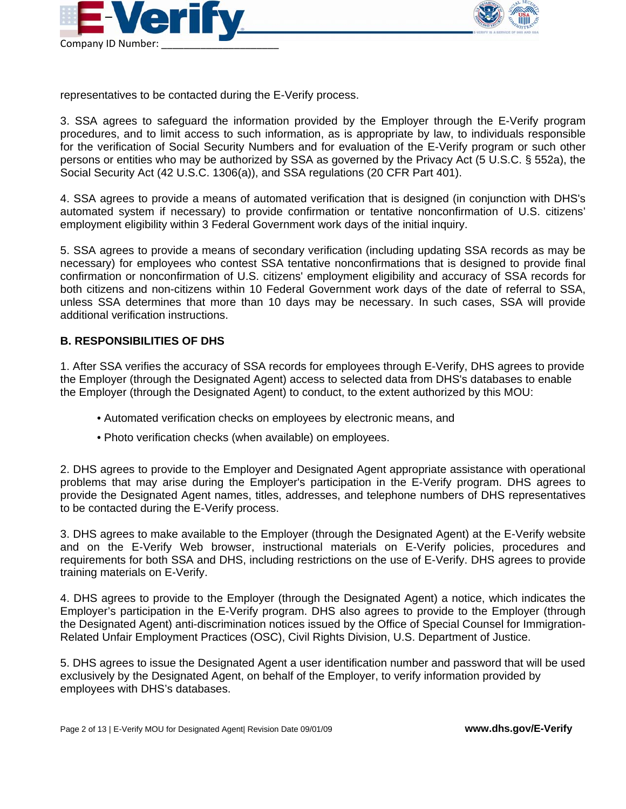



representatives to be contacted during the E-Verify process.

3. SSA agrees to safeguard the information provided by the Employer through the E-Verify program procedures, and to limit access to such information, as is appropriate by law, to individuals responsible for the verification of Social Security Numbers and for evaluation of the E-Verify program or such other persons or entities who may be authorized by SSA as governed by the Privacy Act (5 U.S.C. § 552a), the Social Security Act (42 U.S.C. 1306(a)), and SSA regulations (20 CFR Part 401).

4. SSA agrees to provide a means of automated verification that is designed (in conjunction with DHS's automated system if necessary) to provide confirmation or tentative nonconfirmation of U.S. citizens' employment eligibility within 3 Federal Government work days of the initial inquiry.

5. SSA agrees to provide a means of secondary verification (including updating SSA records as may be necessary) for employees who contest SSA tentative nonconfirmations that is designed to provide final confirmation or nonconfirmation of U.S. citizens' employment eligibility and accuracy of SSA records for both citizens and non-citizens within 10 Federal Government work days of the date of referral to SSA, unless SSA determines that more than 10 days may be necessary. In such cases, SSA will provide additional verification instructions.

### **B. RESPONSIBILITIES OF DHS**

1. After SSA verifies the accuracy of SSA records for employees through E-Verify, DHS agrees to provide the Employer (through the Designated Agent) access to selected data from DHS's databases to enable the Employer (through the Designated Agent) to conduct, to the extent authorized by this MOU:

- Automated verification checks on employees by electronic means, and
- Photo verification checks (when available) on employees.

2. DHS agrees to provide to the Employer and Designated Agent appropriate assistance with operational problems that may arise during the Employer's participation in the E-Verify program. DHS agrees to provide the Designated Agent names, titles, addresses, and telephone numbers of DHS representatives to be contacted during the E-Verify process.

3. DHS agrees to make available to the Employer (through the Designated Agent) at the E-Verify website and on the E-Verify Web browser, instructional materials on E-Verify policies, procedures and requirements for both SSA and DHS, including restrictions on the use of E-Verify. DHS agrees to provide training materials on E-Verify.

4. DHS agrees to provide to the Employer (through the Designated Agent) a notice, which indicates the Employer's participation in the E-Verify program. DHS also agrees to provide to the Employer (through the Designated Agent) anti-discrimination notices issued by the Office of Special Counsel for Immigration-Related Unfair Employment Practices (OSC), Civil Rights Division, U.S. Department of Justice.

5. DHS agrees to issue the Designated Agent a user identification number and password that will be used exclusively by the Designated Agent, on behalf of the Employer, to verify information provided by employees with DHS's databases.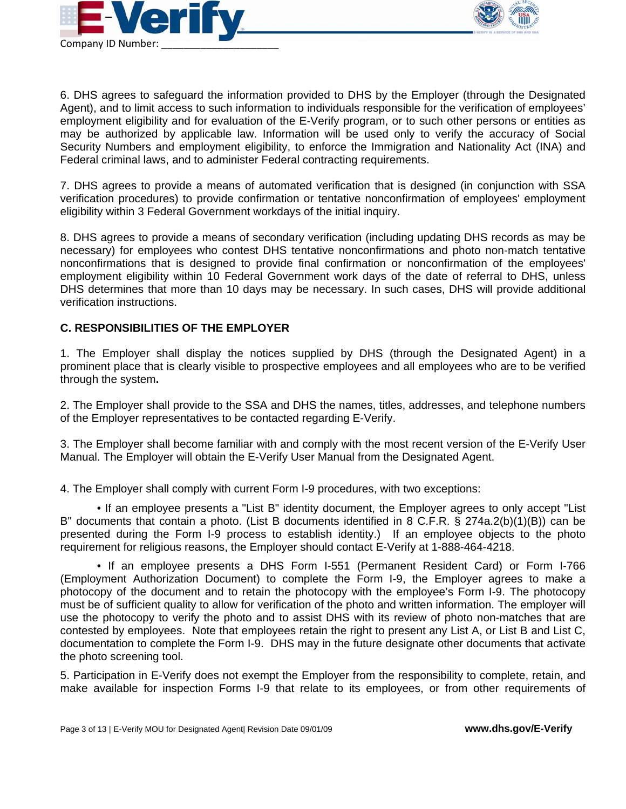



6. DHS agrees to safeguard the information provided to DHS by the Employer (through the Designated Agent), and to limit access to such information to individuals responsible for the verification of employees' employment eligibility and for evaluation of the E-Verify program, or to such other persons or entities as may be authorized by applicable law. Information will be used only to verify the accuracy of Social Security Numbers and employment eligibility, to enforce the Immigration and Nationality Act (INA) and Federal criminal laws, and to administer Federal contracting requirements.

7. DHS agrees to provide a means of automated verification that is designed (in conjunction with SSA verification procedures) to provide confirmation or tentative nonconfirmation of employees' employment eligibility within 3 Federal Government workdays of the initial inquiry.

8. DHS agrees to provide a means of secondary verification (including updating DHS records as may be necessary) for employees who contest DHS tentative nonconfirmations and photo non-match tentative nonconfirmations that is designed to provide final confirmation or nonconfirmation of the employees' employment eligibility within 10 Federal Government work days of the date of referral to DHS, unless DHS determines that more than 10 days may be necessary. In such cases, DHS will provide additional verification instructions.

### **C. RESPONSIBILITIES OF THE EMPLOYER**

1. The Employer shall display the notices supplied by DHS (through the Designated Agent) in a prominent place that is clearly visible to prospective employees and all employees who are to be verified through the system**.** 

2. The Employer shall provide to the SSA and DHS the names, titles, addresses, and telephone numbers of the Employer representatives to be contacted regarding E-Verify.

3. The Employer shall become familiar with and comply with the most recent version of the E-Verify User Manual. The Employer will obtain the E-Verify User Manual from the Designated Agent.

4. The Employer shall comply with current Form I-9 procedures, with two exceptions:

 • If an employee presents a "List B" identity document, the Employer agrees to only accept "List B" documents that contain a photo. (List B documents identified in 8 C.F.R. § 274a.2(b)(1)(B)) can be presented during the Form I-9 process to establish identity.) If an employee objects to the photo requirement for religious reasons, the Employer should contact E-Verify at 1-888-464-4218.

 • If an employee presents a DHS Form I-551 (Permanent Resident Card) or Form I-766 (Employment Authorization Document) to complete the Form I-9, the Employer agrees to make a photocopy of the document and to retain the photocopy with the employee's Form I-9. The photocopy must be of sufficient quality to allow for verification of the photo and written information. The employer will use the photocopy to verify the photo and to assist DHS with its review of photo non-matches that are contested by employees. Note that employees retain the right to present any List A, or List B and List C, documentation to complete the Form I-9. DHS may in the future designate other documents that activate the photo screening tool.

5. Participation in E-Verify does not exempt the Employer from the responsibility to complete, retain, and make available for inspection Forms I-9 that relate to its employees, or from other requirements of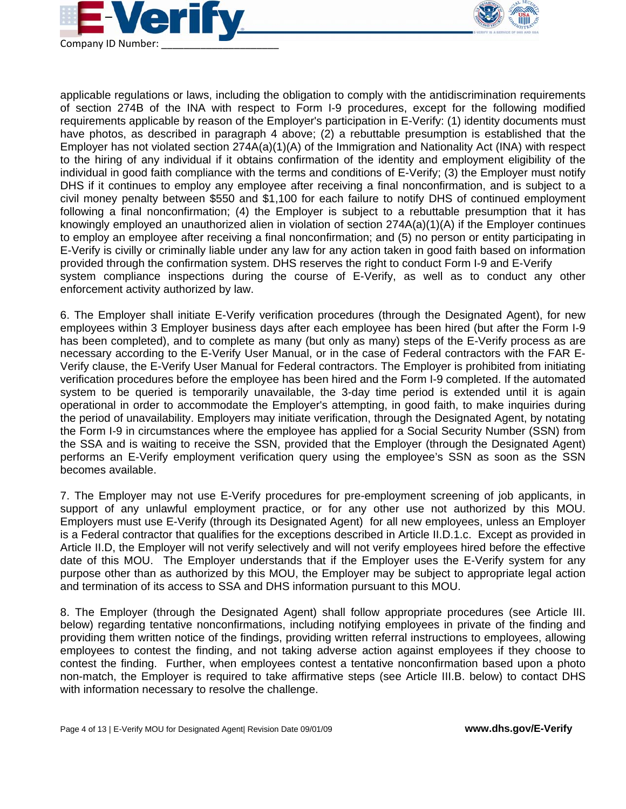



applicable regulations or laws, including the obligation to comply with the antidiscrimination requirements of section 274B of the INA with respect to Form I-9 procedures, except for the following modified requirements applicable by reason of the Employer's participation in E-Verify: (1) identity documents must have photos, as described in paragraph 4 above; (2) a rebuttable presumption is established that the Employer has not violated section 274A(a)(1)(A) of the Immigration and Nationality Act (INA) with respect to the hiring of any individual if it obtains confirmation of the identity and employment eligibility of the individual in good faith compliance with the terms and conditions of E-Verify; (3) the Employer must notify DHS if it continues to employ any employee after receiving a final nonconfirmation, and is subject to a civil money penalty between \$550 and \$1,100 for each failure to notify DHS of continued employment following a final nonconfirmation; (4) the Employer is subject to a rebuttable presumption that it has knowingly employed an unauthorized alien in violation of section 274A(a)(1)(A) if the Employer continues to employ an employee after receiving a final nonconfirmation; and (5) no person or entity participating in E-Verify is civilly or criminally liable under any law for any action taken in good faith based on information provided through the confirmation system. DHS reserves the right to conduct Form I-9 and E-Verify system compliance inspections during the course of E-Verify, as well as to conduct any other enforcement activity authorized by law.

6. The Employer shall initiate E-Verify verification procedures (through the Designated Agent), for new employees within 3 Employer business days after each employee has been hired (but after the Form I-9 has been completed), and to complete as many (but only as many) steps of the E-Verify process as are necessary according to the E-Verify User Manual, or in the case of Federal contractors with the FAR E-Verify clause, the E-Verify User Manual for Federal contractors. The Employer is prohibited from initiating verification procedures before the employee has been hired and the Form I-9 completed. If the automated system to be queried is temporarily unavailable, the 3-day time period is extended until it is again operational in order to accommodate the Employer's attempting, in good faith, to make inquiries during the period of unavailability. Employers may initiate verification, through the Designated Agent, by notating the Form I-9 in circumstances where the employee has applied for a Social Security Number (SSN) from the SSA and is waiting to receive the SSN, provided that the Employer (through the Designated Agent) performs an E-Verify employment verification query using the employee's SSN as soon as the SSN becomes available.

7. The Employer may not use E-Verify procedures for pre-employment screening of job applicants, in support of any unlawful employment practice, or for any other use not authorized by this MOU. Employers must use E-Verify (through its Designated Agent) for all new employees, unless an Employer is a Federal contractor that qualifies for the exceptions described in Article II.D.1.c. Except as provided in Article II.D, the Employer will not verify selectively and will not verify employees hired before the effective date of this MOU. The Employer understands that if the Employer uses the E-Verify system for any purpose other than as authorized by this MOU, the Employer may be subject to appropriate legal action and termination of its access to SSA and DHS information pursuant to this MOU.

8. The Employer (through the Designated Agent) shall follow appropriate procedures (see Article III. below) regarding tentative nonconfirmations, including notifying employees in private of the finding and providing them written notice of the findings, providing written referral instructions to employees, allowing employees to contest the finding, and not taking adverse action against employees if they choose to contest the finding. Further, when employees contest a tentative nonconfirmation based upon a photo non-match, the Employer is required to take affirmative steps (see Article III.B. below) to contact DHS with information necessary to resolve the challenge.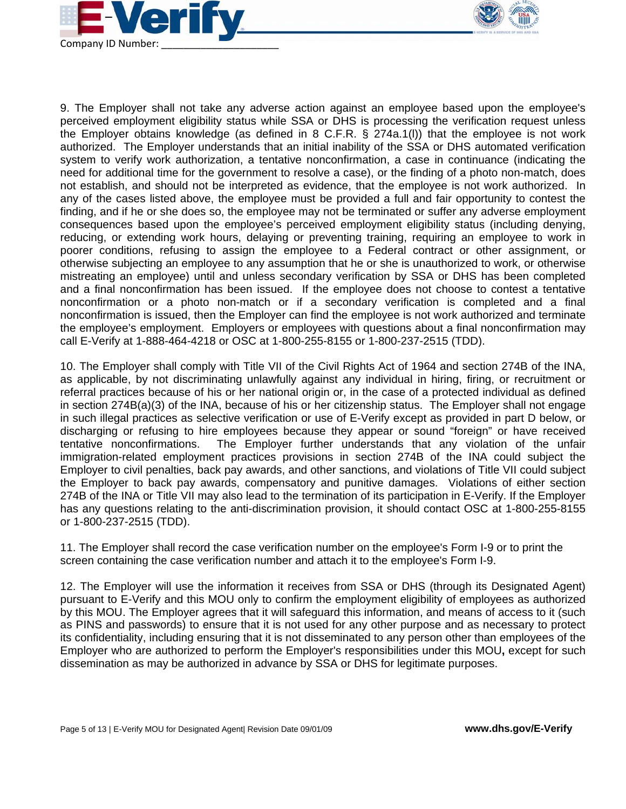



9. The Employer shall not take any adverse action against an employee based upon the employee's perceived employment eligibility status while SSA or DHS is processing the verification request unless the Employer obtains knowledge (as defined in 8 C.F.R. § 274a.1(l)) that the employee is not work authorized. The Employer understands that an initial inability of the SSA or DHS automated verification system to verify work authorization, a tentative nonconfirmation, a case in continuance (indicating the need for additional time for the government to resolve a case), or the finding of a photo non-match, does not establish, and should not be interpreted as evidence, that the employee is not work authorized. In any of the cases listed above, the employee must be provided a full and fair opportunity to contest the finding, and if he or she does so, the employee may not be terminated or suffer any adverse employment consequences based upon the employee's perceived employment eligibility status (including denying, reducing, or extending work hours, delaying or preventing training, requiring an employee to work in poorer conditions, refusing to assign the employee to a Federal contract or other assignment, or otherwise subjecting an employee to any assumption that he or she is unauthorized to work, or otherwise mistreating an employee) until and unless secondary verification by SSA or DHS has been completed and a final nonconfirmation has been issued. If the employee does not choose to contest a tentative nonconfirmation or a photo non-match or if a secondary verification is completed and a final nonconfirmation is issued, then the Employer can find the employee is not work authorized and terminate the employee's employment. Employers or employees with questions about a final nonconfirmation may call E-Verify at 1-888-464-4218 or OSC at 1-800-255-8155 or 1-800-237-2515 (TDD).

10. The Employer shall comply with Title VII of the Civil Rights Act of 1964 and section 274B of the INA, as applicable, by not discriminating unlawfully against any individual in hiring, firing, or recruitment or referral practices because of his or her national origin or, in the case of a protected individual as defined in section 274B(a)(3) of the INA, because of his or her citizenship status. The Employer shall not engage in such illegal practices as selective verification or use of E-Verify except as provided in part D below, or discharging or refusing to hire employees because they appear or sound "foreign" or have received tentative nonconfirmations. The Employer further understands that any violation of the unfair immigration-related employment practices provisions in section 274B of the INA could subject the Employer to civil penalties, back pay awards, and other sanctions, and violations of Title VII could subject the Employer to back pay awards, compensatory and punitive damages. Violations of either section 274B of the INA or Title VII may also lead to the termination of its participation in E-Verify. If the Employer has any questions relating to the anti-discrimination provision, it should contact OSC at 1-800-255-8155 or 1-800-237-2515 (TDD).

11. The Employer shall record the case verification number on the employee's Form I-9 or to print the screen containing the case verification number and attach it to the employee's Form I-9.

12. The Employer will use the information it receives from SSA or DHS (through its Designated Agent) pursuant to E-Verify and this MOU only to confirm the employment eligibility of employees as authorized by this MOU. The Employer agrees that it will safeguard this information, and means of access to it (such as PINS and passwords) to ensure that it is not used for any other purpose and as necessary to protect its confidentiality, including ensuring that it is not disseminated to any person other than employees of the Employer who are authorized to perform the Employer's responsibilities under this MOU**,** except for such dissemination as may be authorized in advance by SSA or DHS for legitimate purposes.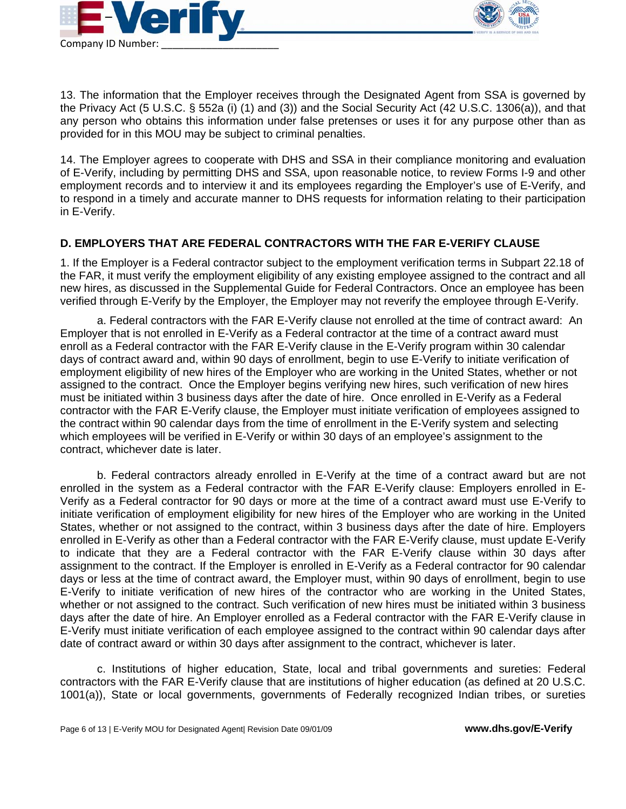



13. The information that the Employer receives through the Designated Agent from SSA is governed by the Privacy Act (5 U.S.C. § 552a (i) (1) and (3)) and the Social Security Act (42 U.S.C. 1306(a)), and that any person who obtains this information under false pretenses or uses it for any purpose other than as provided for in this MOU may be subject to criminal penalties.

14. The Employer agrees to cooperate with DHS and SSA in their compliance monitoring and evaluation of E-Verify, including by permitting DHS and SSA, upon reasonable notice, to review Forms I-9 and other employment records and to interview it and its employees regarding the Employer's use of E-Verify, and to respond in a timely and accurate manner to DHS requests for information relating to their participation in E-Verify.

# **D. EMPLOYERS THAT ARE FEDERAL CONTRACTORS WITH THE FAR E-VERIFY CLAUSE**

1. If the Employer is a Federal contractor subject to the employment verification terms in Subpart 22.18 of the FAR, it must verify the employment eligibility of any existing employee assigned to the contract and all new hires, as discussed in the Supplemental Guide for Federal Contractors. Once an employee has been verified through E-Verify by the Employer, the Employer may not reverify the employee through E-Verify.

a. Federal contractors with the FAR E-Verify clause not enrolled at the time of contract award: An Employer that is not enrolled in E-Verify as a Federal contractor at the time of a contract award must enroll as a Federal contractor with the FAR E-Verify clause in the E-Verify program within 30 calendar days of contract award and, within 90 days of enrollment, begin to use E-Verify to initiate verification of employment eligibility of new hires of the Employer who are working in the United States, whether or not assigned to the contract. Once the Employer begins verifying new hires, such verification of new hires must be initiated within 3 business days after the date of hire. Once enrolled in E-Verify as a Federal contractor with the FAR E-Verify clause, the Employer must initiate verification of employees assigned to the contract within 90 calendar days from the time of enrollment in the E-Verify system and selecting which employees will be verified in E-Verify or within 30 days of an employee's assignment to the contract, whichever date is later.

 b. Federal contractors already enrolled in E-Verify at the time of a contract award but are not enrolled in the system as a Federal contractor with the FAR E-Verify clause: Employers enrolled in E-Verify as a Federal contractor for 90 days or more at the time of a contract award must use E-Verify to initiate verification of employment eligibility for new hires of the Employer who are working in the United States, whether or not assigned to the contract, within 3 business days after the date of hire. Employers enrolled in E-Verify as other than a Federal contractor with the FAR E-Verify clause, must update E-Verify to indicate that they are a Federal contractor with the FAR E-Verify clause within 30 days after assignment to the contract. If the Employer is enrolled in E-Verify as a Federal contractor for 90 calendar days or less at the time of contract award, the Employer must, within 90 days of enrollment, begin to use E-Verify to initiate verification of new hires of the contractor who are working in the United States, whether or not assigned to the contract. Such verification of new hires must be initiated within 3 business days after the date of hire. An Employer enrolled as a Federal contractor with the FAR E-Verify clause in E-Verify must initiate verification of each employee assigned to the contract within 90 calendar days after date of contract award or within 30 days after assignment to the contract, whichever is later.

 c. Institutions of higher education, State, local and tribal governments and sureties: Federal contractors with the FAR E-Verify clause that are institutions of higher education (as defined at 20 U.S.C. 1001(a)), State or local governments, governments of Federally recognized Indian tribes, or sureties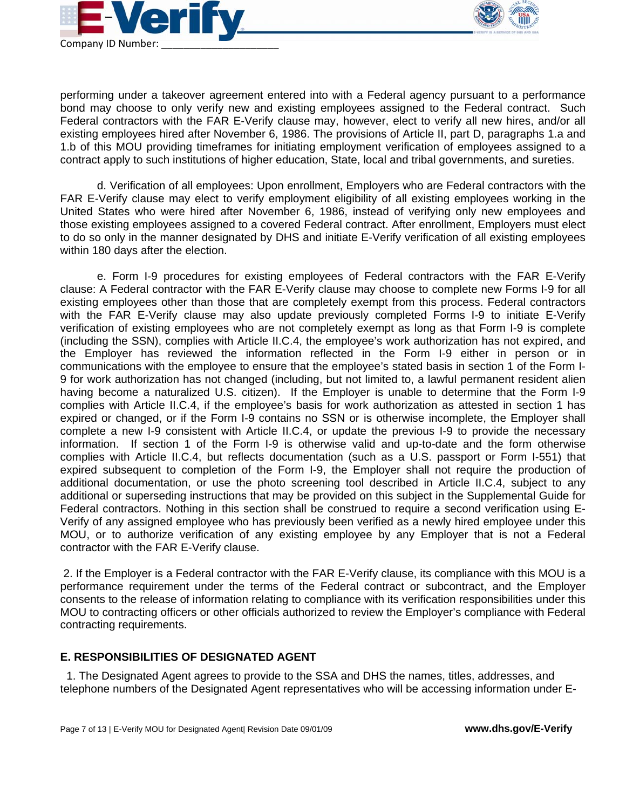



performing under a takeover agreement entered into with a Federal agency pursuant to a performance bond may choose to only verify new and existing employees assigned to the Federal contract. Such Federal contractors with the FAR E-Verify clause may, however, elect to verify all new hires, and/or all existing employees hired after November 6, 1986. The provisions of Article II, part D, paragraphs 1.a and 1.b of this MOU providing timeframes for initiating employment verification of employees assigned to a contract apply to such institutions of higher education, State, local and tribal governments, and sureties.

 d. Verification of all employees: Upon enrollment, Employers who are Federal contractors with the FAR E-Verify clause may elect to verify employment eligibility of all existing employees working in the United States who were hired after November 6, 1986, instead of verifying only new employees and those existing employees assigned to a covered Federal contract. After enrollment, Employers must elect to do so only in the manner designated by DHS and initiate E-Verify verification of all existing employees within 180 days after the election.

 e. Form I-9 procedures for existing employees of Federal contractors with the FAR E-Verify clause: A Federal contractor with the FAR E-Verify clause may choose to complete new Forms I-9 for all existing employees other than those that are completely exempt from this process. Federal contractors with the FAR E-Verify clause may also update previously completed Forms I-9 to initiate E-Verify verification of existing employees who are not completely exempt as long as that Form I-9 is complete (including the SSN), complies with Article II.C.4, the employee's work authorization has not expired, and the Employer has reviewed the information reflected in the Form I-9 either in person or in communications with the employee to ensure that the employee's stated basis in section 1 of the Form I-9 for work authorization has not changed (including, but not limited to, a lawful permanent resident alien having become a naturalized U.S. citizen). If the Employer is unable to determine that the Form I-9 complies with Article II.C.4, if the employee's basis for work authorization as attested in section 1 has expired or changed, or if the Form I-9 contains no SSN or is otherwise incomplete, the Employer shall complete a new I-9 consistent with Article II.C.4, or update the previous I-9 to provide the necessary information. If section 1 of the Form I-9 is otherwise valid and up-to-date and the form otherwise complies with Article II.C.4, but reflects documentation (such as a U.S. passport or Form I-551) that expired subsequent to completion of the Form I-9, the Employer shall not require the production of additional documentation, or use the photo screening tool described in Article II.C.4, subject to any additional or superseding instructions that may be provided on this subject in the Supplemental Guide for Federal contractors. Nothing in this section shall be construed to require a second verification using E-Verify of any assigned employee who has previously been verified as a newly hired employee under this MOU, or to authorize verification of any existing employee by any Employer that is not a Federal contractor with the FAR E-Verify clause.

 2. If the Employer is a Federal contractor with the FAR E-Verify clause, its compliance with this MOU is a performance requirement under the terms of the Federal contract or subcontract, and the Employer consents to the release of information relating to compliance with its verification responsibilities under this MOU to contracting officers or other officials authorized to review the Employer's compliance with Federal contracting requirements.

### **E. RESPONSIBILITIES OF DESIGNATED AGENT**

 1. The Designated Agent agrees to provide to the SSA and DHS the names, titles, addresses, and telephone numbers of the Designated Agent representatives who will be accessing information under E-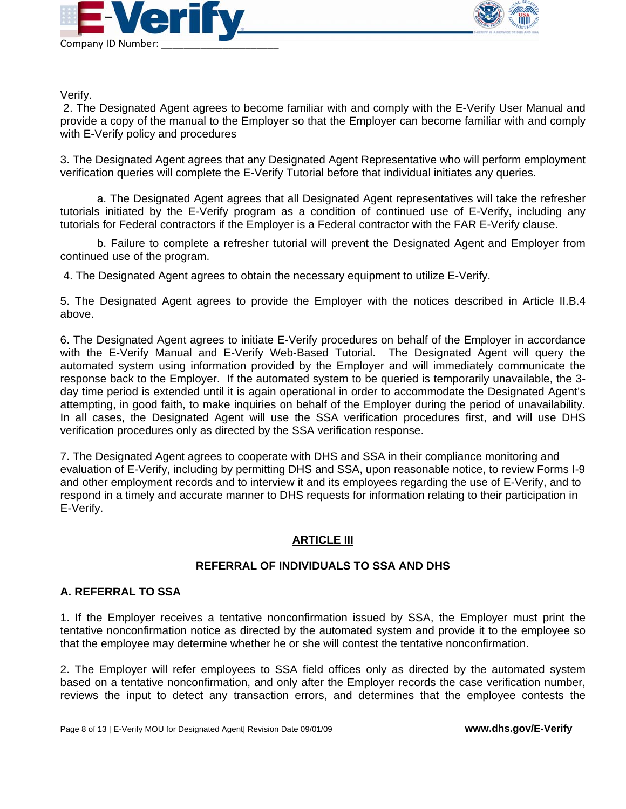



Verify.

 2. The Designated Agent agrees to become familiar with and comply with the E-Verify User Manual and provide a copy of the manual to the Employer so that the Employer can become familiar with and comply with E-Verify policy and procedures

3. The Designated Agent agrees that any Designated Agent Representative who will perform employment verification queries will complete the E-Verify Tutorial before that individual initiates any queries.

 a. The Designated Agent agrees that all Designated Agent representatives will take the refresher tutorials initiated by the E-Verify program as a condition of continued use of E-Verify**,** including any tutorials for Federal contractors if the Employer is a Federal contractor with the FAR E-Verify clause.

 b. Failure to complete a refresher tutorial will prevent the Designated Agent and Employer from continued use of the program.

4. The Designated Agent agrees to obtain the necessary equipment to utilize E-Verify.

5. The Designated Agent agrees to provide the Employer with the notices described in Article II.B.4 above.

6. The Designated Agent agrees to initiate E-Verify procedures on behalf of the Employer in accordance with the E-Verify Manual and E-Verify Web-Based Tutorial. The Designated Agent will query the automated system using information provided by the Employer and will immediately communicate the response back to the Employer. If the automated system to be queried is temporarily unavailable, the 3 day time period is extended until it is again operational in order to accommodate the Designated Agent's attempting, in good faith, to make inquiries on behalf of the Employer during the period of unavailability. In all cases, the Designated Agent will use the SSA verification procedures first, and will use DHS verification procedures only as directed by the SSA verification response.

7. The Designated Agent agrees to cooperate with DHS and SSA in their compliance monitoring and evaluation of E-Verify, including by permitting DHS and SSA, upon reasonable notice, to review Forms I-9 and other employment records and to interview it and its employees regarding the use of E-Verify, and to respond in a timely and accurate manner to DHS requests for information relating to their participation in E-Verify.

### **ARTICLE III**

### **REFERRAL OF INDIVIDUALS TO SSA AND DHS**

### **A. REFERRAL TO SSA**

1. If the Employer receives a tentative nonconfirmation issued by SSA, the Employer must print the tentative nonconfirmation notice as directed by the automated system and provide it to the employee so that the employee may determine whether he or she will contest the tentative nonconfirmation.

2. The Employer will refer employees to SSA field offices only as directed by the automated system based on a tentative nonconfirmation, and only after the Employer records the case verification number, reviews the input to detect any transaction errors, and determines that the employee contests the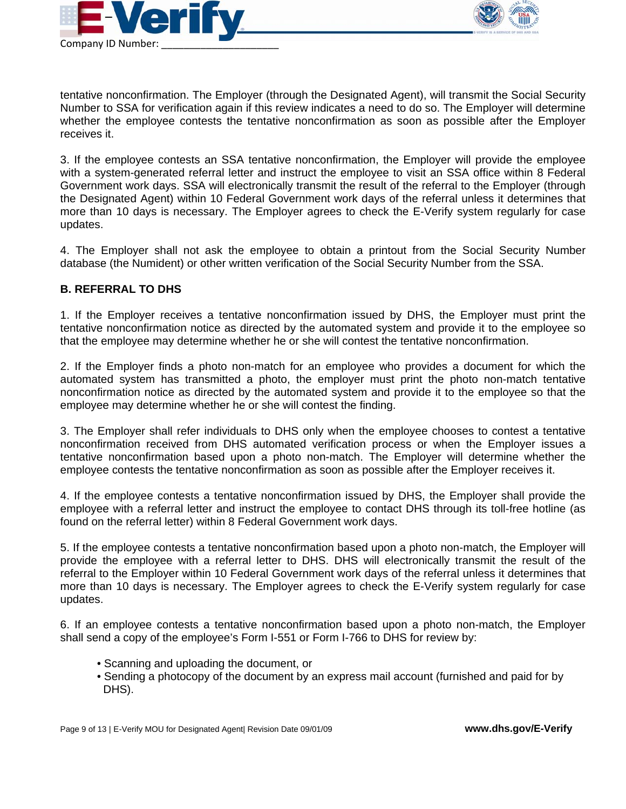



tentative nonconfirmation. The Employer (through the Designated Agent), will transmit the Social Security Number to SSA for verification again if this review indicates a need to do so. The Employer will determine whether the employee contests the tentative nonconfirmation as soon as possible after the Employer receives it.

3. If the employee contests an SSA tentative nonconfirmation, the Employer will provide the employee with a system-generated referral letter and instruct the employee to visit an SSA office within 8 Federal Government work days. SSA will electronically transmit the result of the referral to the Employer (through the Designated Agent) within 10 Federal Government work days of the referral unless it determines that more than 10 days is necessary. The Employer agrees to check the E-Verify system regularly for case updates.

4. The Employer shall not ask the employee to obtain a printout from the Social Security Number database (the Numident) or other written verification of the Social Security Number from the SSA.

### **B. REFERRAL TO DHS**

1. If the Employer receives a tentative nonconfirmation issued by DHS, the Employer must print the tentative nonconfirmation notice as directed by the automated system and provide it to the employee so that the employee may determine whether he or she will contest the tentative nonconfirmation.

2. If the Employer finds a photo non-match for an employee who provides a document for which the automated system has transmitted a photo, the employer must print the photo non-match tentative nonconfirmation notice as directed by the automated system and provide it to the employee so that the employee may determine whether he or she will contest the finding.

3. The Employer shall refer individuals to DHS only when the employee chooses to contest a tentative nonconfirmation received from DHS automated verification process or when the Employer issues a tentative nonconfirmation based upon a photo non-match. The Employer will determine whether the employee contests the tentative nonconfirmation as soon as possible after the Employer receives it.

4. If the employee contests a tentative nonconfirmation issued by DHS, the Employer shall provide the employee with a referral letter and instruct the employee to contact DHS through its toll-free hotline (as found on the referral letter) within 8 Federal Government work days.

5. If the employee contests a tentative nonconfirmation based upon a photo non-match, the Employer will provide the employee with a referral letter to DHS. DHS will electronically transmit the result of the referral to the Employer within 10 Federal Government work days of the referral unless it determines that more than 10 days is necessary. The Employer agrees to check the E-Verify system regularly for case updates.

6. If an employee contests a tentative nonconfirmation based upon a photo non-match, the Employer shall send a copy of the employee's Form I-551 or Form I-766 to DHS for review by:

- Scanning and uploading the document, or
- Sending a photocopy of the document by an express mail account (furnished and paid for by DHS).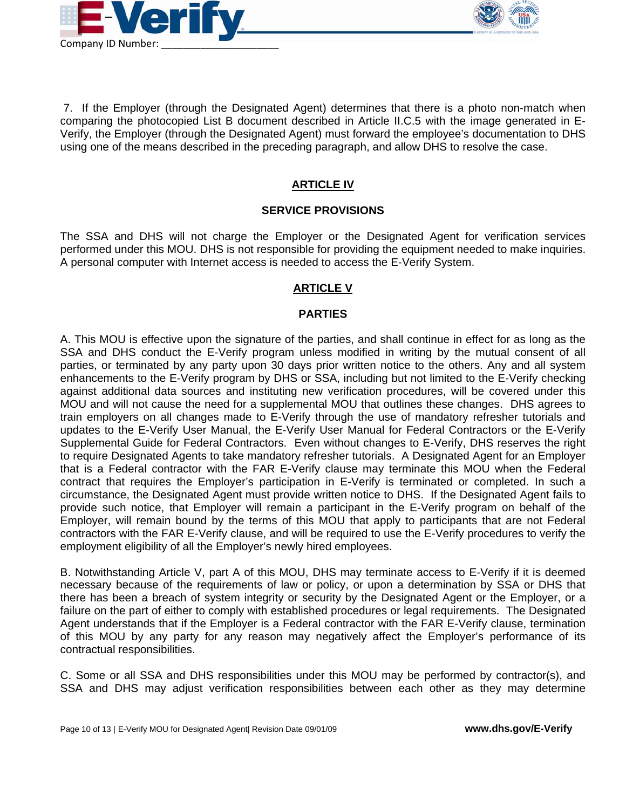



7. If the Employer (through the Designated Agent) determines that there is a photo non-match when comparing the photocopied List B document described in Article II.C.5 with the image generated in E-Verify, the Employer (through the Designated Agent) must forward the employee's documentation to DHS using one of the means described in the preceding paragraph, and allow DHS to resolve the case.

# **ARTICLE IV**

#### **SERVICE PROVISIONS**

The SSA and DHS will not charge the Employer or the Designated Agent for verification services performed under this MOU. DHS is not responsible for providing the equipment needed to make inquiries. A personal computer with Internet access is needed to access the E-Verify System.

#### **ARTICLE V**

#### **PARTIES**

A. This MOU is effective upon the signature of the parties, and shall continue in effect for as long as the SSA and DHS conduct the E-Verify program unless modified in writing by the mutual consent of all parties, or terminated by any party upon 30 days prior written notice to the others. Any and all system enhancements to the E-Verify program by DHS or SSA, including but not limited to the E-Verify checking against additional data sources and instituting new verification procedures, will be covered under this MOU and will not cause the need for a supplemental MOU that outlines these changes. DHS agrees to train employers on all changes made to E-Verify through the use of mandatory refresher tutorials and updates to the E-Verify User Manual, the E-Verify User Manual for Federal Contractors or the E-Verify Supplemental Guide for Federal Contractors. Even without changes to E-Verify, DHS reserves the right to require Designated Agents to take mandatory refresher tutorials. A Designated Agent for an Employer that is a Federal contractor with the FAR E-Verify clause may terminate this MOU when the Federal contract that requires the Employer's participation in E-Verify is terminated or completed. In such a circumstance, the Designated Agent must provide written notice to DHS. If the Designated Agent fails to provide such notice, that Employer will remain a participant in the E-Verify program on behalf of the Employer, will remain bound by the terms of this MOU that apply to participants that are not Federal contractors with the FAR E-Verify clause, and will be required to use the E-Verify procedures to verify the employment eligibility of all the Employer's newly hired employees.

B. Notwithstanding Article V, part A of this MOU, DHS may terminate access to E-Verify if it is deemed necessary because of the requirements of law or policy, or upon a determination by SSA or DHS that there has been a breach of system integrity or security by the Designated Agent or the Employer, or a failure on the part of either to comply with established procedures or legal requirements. The Designated Agent understands that if the Employer is a Federal contractor with the FAR E-Verify clause, termination of this MOU by any party for any reason may negatively affect the Employer's performance of its contractual responsibilities.

C. Some or all SSA and DHS responsibilities under this MOU may be performed by contractor(s), and SSA and DHS may adjust verification responsibilities between each other as they may determine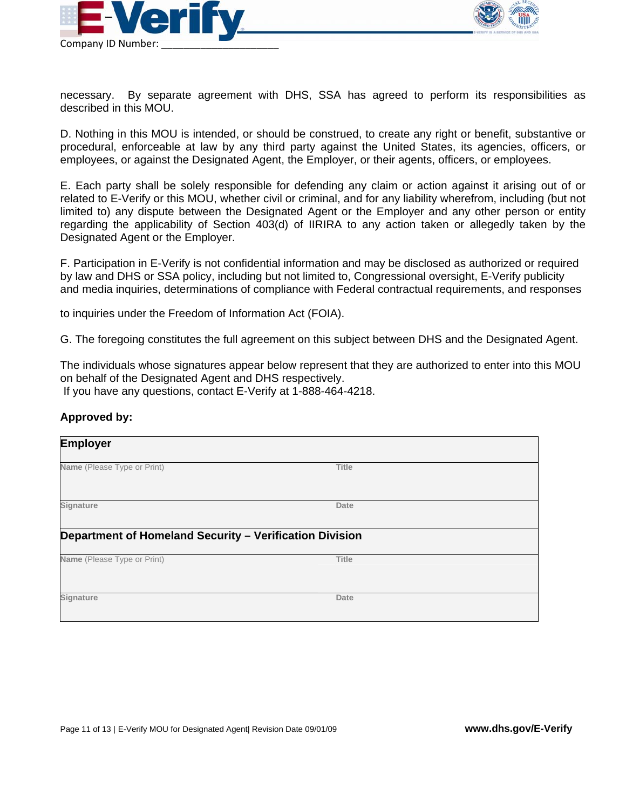



necessary. By separate agreement with DHS, SSA has agreed to perform its responsibilities as described in this MOU.

D. Nothing in this MOU is intended, or should be construed, to create any right or benefit, substantive or procedural, enforceable at law by any third party against the United States, its agencies, officers, or employees, or against the Designated Agent, the Employer, or their agents, officers, or employees.

E. Each party shall be solely responsible for defending any claim or action against it arising out of or related to E-Verify or this MOU, whether civil or criminal, and for any liability wherefrom, including (but not limited to) any dispute between the Designated Agent or the Employer and any other person or entity regarding the applicability of Section 403(d) of IIRIRA to any action taken or allegedly taken by the Designated Agent or the Employer.

F. Participation in E-Verify is not confidential information and may be disclosed as authorized or required by law and DHS or SSA policy, including but not limited to, Congressional oversight, E-Verify publicity and media inquiries, determinations of compliance with Federal contractual requirements, and responses

to inquiries under the Freedom of Information Act (FOIA).

G. The foregoing constitutes the full agreement on this subject between DHS and the Designated Agent.

The individuals whose signatures appear below represent that they are authorized to enter into this MOU on behalf of the Designated Agent and DHS respectively. If you have any questions, contact E-Verify at 1-888-464-4218.

#### **Approved by:**

| <b>Employer</b>                                                                        |              |  |
|----------------------------------------------------------------------------------------|--------------|--|
| Name (Please Type or Print)                                                            | <b>Title</b> |  |
| Signature                                                                              | Date         |  |
| Department of Homeland Security - Verification Division<br>Name (Please Type or Print) | <b>Title</b> |  |
| Signature                                                                              | Date         |  |
|                                                                                        |              |  |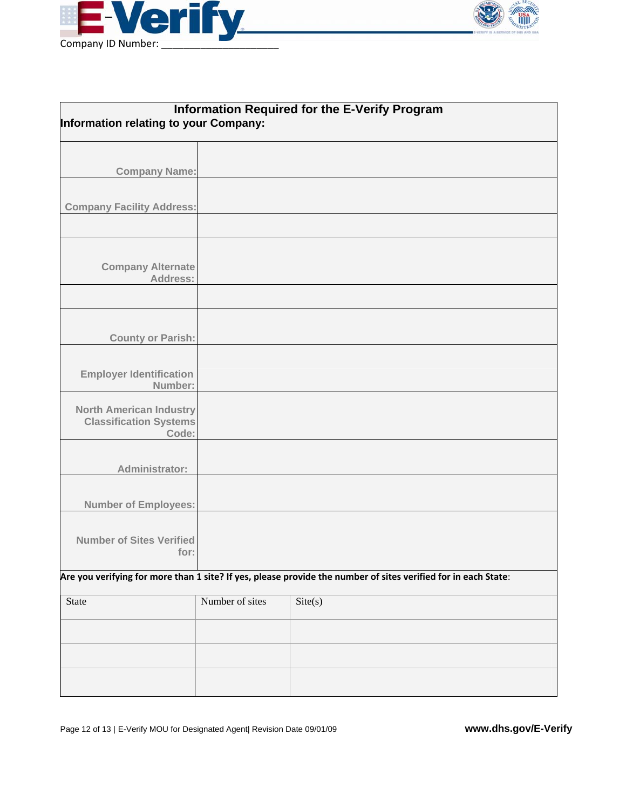



| <b>Information Required for the E-Verify Program</b><br>Information relating to your Company:                  |                 |         |  |
|----------------------------------------------------------------------------------------------------------------|-----------------|---------|--|
|                                                                                                                |                 |         |  |
| <b>Company Name:</b>                                                                                           |                 |         |  |
|                                                                                                                |                 |         |  |
| <b>Company Facility Address:</b>                                                                               |                 |         |  |
|                                                                                                                |                 |         |  |
| <b>Company Alternate</b><br>Address:                                                                           |                 |         |  |
|                                                                                                                |                 |         |  |
| <b>County or Parish:</b>                                                                                       |                 |         |  |
|                                                                                                                |                 |         |  |
| <b>Employer Identification</b><br>Number:                                                                      |                 |         |  |
| <b>North American Industry</b><br><b>Classification Systems</b><br>Code:                                       |                 |         |  |
|                                                                                                                |                 |         |  |
| Administrator:                                                                                                 |                 |         |  |
| <b>Number of Employees:</b>                                                                                    |                 |         |  |
| <b>Number of Sites Verified</b><br>for:                                                                        |                 |         |  |
| Are you verifying for more than 1 site? If yes, please provide the number of sites verified for in each State: |                 |         |  |
| State                                                                                                          | Number of sites | Site(s) |  |
|                                                                                                                |                 |         |  |
|                                                                                                                |                 |         |  |
|                                                                                                                |                 |         |  |
|                                                                                                                |                 |         |  |